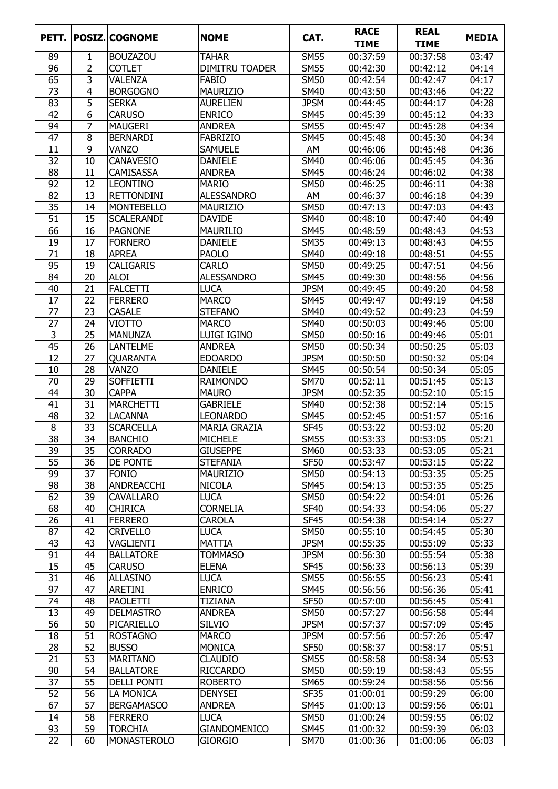| PETT.           |    | <b>POSIZ. COGNOME</b> | <b>NOME</b>           | CAT.             | <b>RACE</b><br><b>TIME</b> | <b>REAL</b><br><b>TIME</b> | <b>MEDIA</b> |
|-----------------|----|-----------------------|-----------------------|------------------|----------------------------|----------------------------|--------------|
| 89              | 1  | <b>BOUZAZOU</b>       | <b>TAHAR</b>          | <b>SM55</b>      | 00:37:59                   | 00:37:58                   | 03:47        |
| 96              | 2  | <b>COTLET</b>         | <b>DIMITRU TOADER</b> | <b>SM55</b>      | 00:42:30                   | 00:42:12                   | 04:14        |
| 65              | 3  | <b>VALENZA</b>        | <b>FABIO</b>          | <b>SM50</b>      | 00:42:54                   | 00:42:47                   | 04:17        |
| 73              | 4  | <b>BORGOGNO</b>       | <b>MAURIZIO</b>       | <b>SM40</b>      | 00:43:50                   | 00:43:46                   | 04:22        |
| 83              | 5  | <b>SERKA</b>          | <b>AURELIEN</b>       | <b>JPSM</b>      | 00:44:45                   | 00:44:17                   | 04:28        |
| 42              | 6  | <b>CARUSO</b>         | <b>ENRICO</b>         | <b>SM45</b>      | 00:45:39                   | 00:45:12                   | 04:33        |
| 94              | 7  | <b>MAUGERI</b>        | <b>ANDREA</b>         | <b>SM55</b>      | 00:45:47                   | 00:45:28                   | 04:34        |
| 47              | 8  | <b>BERNARDI</b>       | <b>FABRIZIO</b>       | <b>SM45</b>      | 00:45:48                   | 00:45:30                   | 04:34        |
| 11              | 9  | <b>VANZO</b>          | <b>SAMUELE</b>        | AM               | 00:46:06                   | 00:45:48                   | 04:36        |
| 32              | 10 | <b>CANAVESIO</b>      | <b>DANIELE</b>        | <b>SM40</b>      | 00:46:06                   | 00:45:45                   | 04:36        |
| 88              | 11 | <b>CAMISASSA</b>      | <b>ANDREA</b>         | <b>SM45</b>      | 00:46:24                   | 00:46:02                   | 04:38        |
| 92              | 12 | <b>LEONTINO</b>       | <b>MARIO</b>          | <b>SM50</b>      | 00:46:25                   | 00:46:11                   | 04:38        |
| 82              | 13 | <b>RETTONDINI</b>     | <b>ALESSANDRO</b>     | AM               | 00:46:37                   | 00:46:18                   | 04:39        |
| 35              | 14 | <b>MONTEBELLO</b>     | <b>MAURIZIO</b>       | <b>SM50</b>      | 00:47:13                   | 00:47:03                   | 04:43        |
| 51              | 15 | <b>SCALERANDI</b>     | <b>DAVIDE</b>         | <b>SM40</b>      | 00:48:10                   | 00:47:40                   | 04:49        |
| 66              | 16 | <b>PAGNONE</b>        | <b>MAURILIO</b>       | <b>SM45</b>      | 00:48:59                   | 00:48:43                   | 04:53        |
| 19              | 17 | <b>FORNERO</b>        | <b>DANIELE</b>        | <b>SM35</b>      | 00:49:13                   | 00:48:43                   | 04:55        |
| 71              | 18 | <b>APREA</b>          | <b>PAOLO</b>          | <b>SM40</b>      | 00:49:18                   | 00:48:51                   | 04:55        |
| 95              | 19 | <b>CALIGARIS</b>      | <b>CARLO</b>          | <b>SM50</b>      | 00:49:25                   | 00:47:51                   | 04:56        |
| 84              | 20 | <b>ALOI</b>           | <b>ALESSANDRO</b>     | <b>SM45</b>      | 00:49:30                   | 00:48:56                   | 04:56        |
| 40              | 21 | <b>FALCETTI</b>       | <b>LUCA</b>           | <b>JPSM</b>      | 00:49:45                   | 00:49:20                   | 04:58        |
| 17              | 22 | <b>FERRERO</b>        | <b>MARCO</b>          | <b>SM45</b>      | 00:49:47                   | 00:49:19                   | 04:58        |
| 77              | 23 | <b>CASALE</b>         | <b>STEFANO</b>        | <b>SM40</b>      | 00:49:52                   | 00:49:23                   | 04:59        |
| 27              | 24 | <b>VIOTTO</b>         | <b>MARCO</b>          | <b>SM40</b>      | 00:50:03                   | 00:49:46                   | 05:00        |
| 3               | 25 | <b>MANUNZA</b>        | LUIGI IGINO           | <b>SM50</b>      | 00:50:16                   | 00:49:46                   | 05:01        |
| 45              | 26 | <b>LANTELME</b>       | <b>ANDREA</b>         | <b>SM50</b>      | 00:50:34                   | 00:50:25                   | 05:03        |
| 12              | 27 | <b>QUARANTA</b>       | <b>EDOARDO</b>        | <b>JPSM</b>      | 00:50:50                   | 00:50:32                   | 05:04        |
| 10              | 28 | <b>VANZO</b>          | <b>DANIELE</b>        | <b>SM45</b>      | 00:50:54                   | 00:50:34                   | 05:05        |
| 70              | 29 | <b>SOFFIETTI</b>      | <b>RAIMONDO</b>       | <b>SM70</b>      | 00:52:11                   | 00:51:45                   | 05:13        |
| 44              | 30 | <b>CAPPA</b>          | <b>MAURO</b>          | <b>JPSM</b>      | 00:52:35                   | 00:52:10                   | 05:15        |
| 41              | 31 | <b>MARCHETTI</b>      | <b>GABRIELE</b>       | <b>SM40</b>      | 00:52:38                   | 00:52:14                   | 05:15        |
| 48              | 32 | <b>LACANNA</b>        | <b>LEONARDO</b>       | <b>SM45</b>      | 00:52:45                   | 00:51:57                   | 05:16        |
| 8               | 33 | <b>SCARCELLA</b>      | <b>MARIA GRAZIA</b>   | <b>SF45</b>      | 00:53:22                   | 00:53:02                   | 05:20        |
| $\overline{38}$ | 34 | <b>BANCHIO</b>        | <b>MICHELE</b>        | <b>SM55</b>      | 00:53:33                   | 00:53:05                   | 05:21        |
| 39              | 35 | <b>CORRADO</b>        | <b>GIUSEPPE</b>       | <b>SM60</b>      | 00:53:33                   | 00:53:05                   | 05:21        |
| 55              | 36 | DE PONTE              | <b>STEFANIA</b>       | <b>SF50</b>      | 00:53:47                   | 00:53:15                   | 05:22        |
| 99              | 37 | <b>FONIO</b>          | <b>MAURIZIO</b>       | <b>SM50</b>      | 00:54:13                   | 00:53:35                   | 05:25        |
| 98              | 38 | ANDREACCHI            | <b>NICOLA</b>         | <b>SM45</b>      | 00:54:13                   | 00:53:35                   | 05:25        |
| 62              | 39 | <b>CAVALLARO</b>      | <b>LUCA</b>           | <b>SM50</b>      | 00:54:22                   | 00:54:01                   | 05:26        |
| 68              | 40 | <b>CHIRICA</b>        | <b>CORNELIA</b>       | <b>SF40</b>      | 00:54:33                   | 00:54:06                   | 05:27        |
| 26              | 41 | <b>FERRERO</b>        | <b>CAROLA</b>         | <b>SF45</b>      | 00:54:38                   | 00:54:14                   | 05:27        |
| 87              | 42 | <b>CRIVELLO</b>       | <b>LUCA</b>           | <b>SM50</b>      | 00:55:10                   | 00:54:45                   | 05:30        |
| 43              | 43 | VAGLIENTI             | <b>MATTIA</b>         | <b>JPSM</b>      | 00:55:35                   | 00:55:09                   | 05:33        |
| 91              | 44 | <b>BALLATORE</b>      | <b>TOMMASO</b>        | <b>JPSM</b>      | 00:56:30                   | 00:55:54                   | 05:38        |
| 15              | 45 | <b>CARUSO</b>         | <b>ELENA</b>          | SF <sub>45</sub> | 00:56:33                   | 00:56:13                   | 05:39        |
| 31              | 46 | ALLASINO              | <b>LUCA</b>           | <b>SM55</b>      | 00:56:55                   | 00:56:23                   | 05:41        |
| 97              | 47 | ARETINI               | <b>ENRICO</b>         | <b>SM45</b>      | 00:56:56                   | 00:56:36                   | 05:41        |
| 74              | 48 | <b>PAOLETTI</b>       | <b>TIZIANA</b>        | <b>SF50</b>      | 00:57:00                   | 00:56:45                   | 05:41        |
| 13              | 49 | <b>DELMASTRO</b>      | <b>ANDREA</b>         | <b>SM50</b>      | 00:57:27                   | 00:56:58                   | 05:44        |
| 56              | 50 | PICARIELLO            | <b>SILVIO</b>         | <b>JPSM</b>      | 00:57:37                   | 00:57:09                   | 05:45        |
| 18              | 51 | <b>ROSTAGNO</b>       | <b>MARCO</b>          | <b>JPSM</b>      | 00:57:56                   | 00:57:26                   | 05:47        |
| 28              | 52 | <b>BUSSO</b>          | <b>MONICA</b>         | <b>SF50</b>      | 00:58:37                   | 00:58:17                   | 05:51        |
| 21              | 53 | <b>MARITANO</b>       | <b>CLAUDIO</b>        | <b>SM55</b>      | 00:58:58                   | 00:58:34                   | 05:53        |
| 90              | 54 | <b>BALLATORE</b>      | RICCARDO              | <b>SM50</b>      | 00:59:19                   | 00:58:43                   | 05:55        |
| 37              | 55 | <b>DELLI PONTI</b>    | <b>ROBERTO</b>        | <b>SM65</b>      | 00:59:24                   | 00:58:56                   | 05:56        |
| 52              | 56 | LA MONICA             | <b>DENYSEI</b>        | <b>SF35</b>      | 01:00:01                   | 00:59:29                   | 06:00        |
| 67              | 57 | <b>BERGAMASCO</b>     | <b>ANDREA</b>         | <b>SM45</b>      | 01:00:13                   | 00:59:56                   | 06:01        |
| 14              | 58 | <b>FERRERO</b>        | <b>LUCA</b>           | <b>SM50</b>      | 01:00:24                   | 00:59:55                   | 06:02        |
| 93              | 59 | <b>TORCHIA</b>        | <b>GIANDOMENICO</b>   | <b>SM45</b>      | 01:00:32                   | 00:59:39                   | 06:03        |
| 22              | 60 | MONASTEROLO           | <b>GIORGIO</b>        | <b>SM70</b>      | 01:00:36                   | 01:00:06                   | 06:03        |